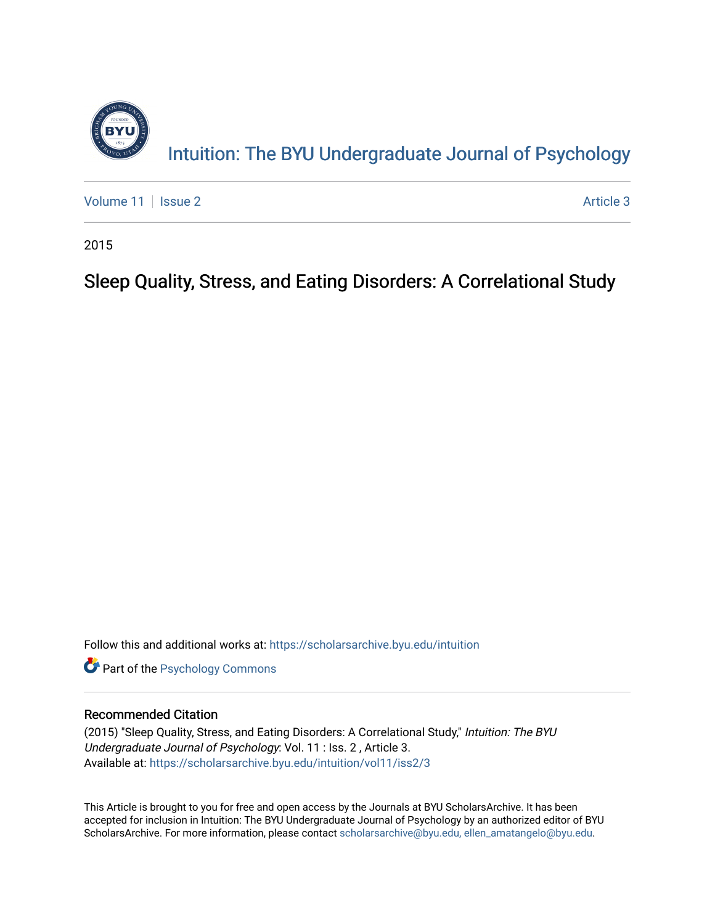

[Volume 11](https://scholarsarchive.byu.edu/intuition/vol11) | [Issue 2](https://scholarsarchive.byu.edu/intuition/vol11/iss2) Article 3

2015

# Sleep Quality, Stress, and Eating Disorders: A Correlational Study

Follow this and additional works at: [https://scholarsarchive.byu.edu/intuition](https://scholarsarchive.byu.edu/intuition?utm_source=scholarsarchive.byu.edu%2Fintuition%2Fvol11%2Fiss2%2F3&utm_medium=PDF&utm_campaign=PDFCoverPages) 

**Part of the Psychology Commons** 

### Recommended Citation

(2015) "Sleep Quality, Stress, and Eating Disorders: A Correlational Study," Intuition: The BYU Undergraduate Journal of Psychology: Vol. 11 : Iss. 2 , Article 3. Available at: [https://scholarsarchive.byu.edu/intuition/vol11/iss2/3](https://scholarsarchive.byu.edu/intuition/vol11/iss2/3?utm_source=scholarsarchive.byu.edu%2Fintuition%2Fvol11%2Fiss2%2F3&utm_medium=PDF&utm_campaign=PDFCoverPages) 

This Article is brought to you for free and open access by the Journals at BYU ScholarsArchive. It has been accepted for inclusion in Intuition: The BYU Undergraduate Journal of Psychology by an authorized editor of BYU ScholarsArchive. For more information, please contact [scholarsarchive@byu.edu, ellen\\_amatangelo@byu.edu.](mailto:scholarsarchive@byu.edu,%20ellen_amatangelo@byu.edu)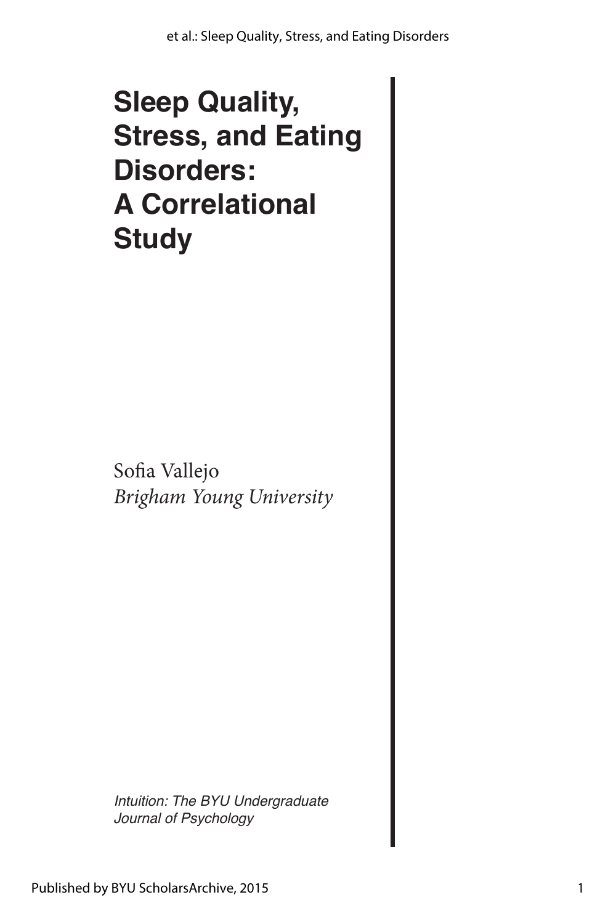# **Sleep Quality, Stress, and Eating Disorders: A Correlational Study**

Sofia Vallejo *Brigham Young University*

*Intuition: The BYU Undergraduate Journal of Psychology*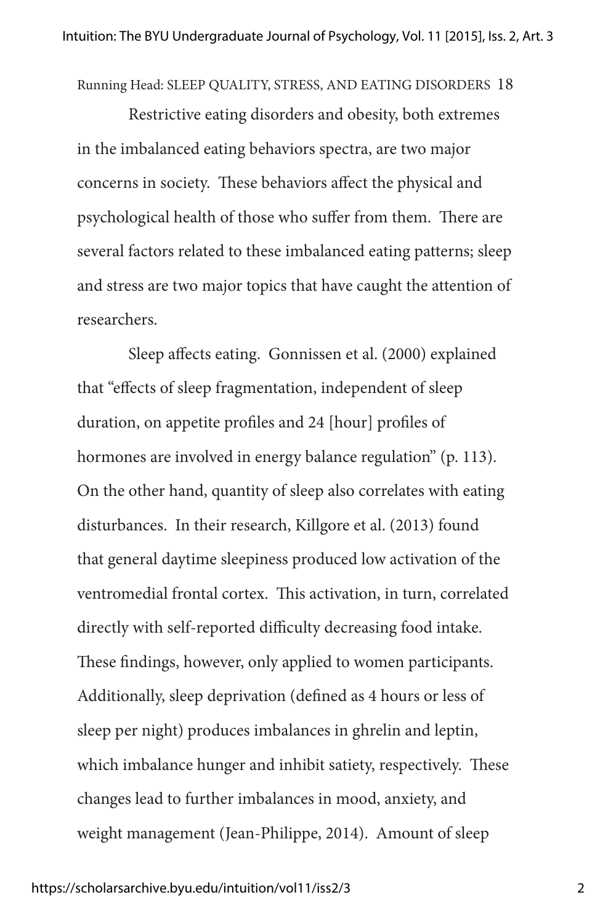Running Head: SLEEP QUALITY, STRESS, AND EATING DISORDERS 18

Restrictive eating disorders and obesity, both extremes in the imbalanced eating behaviors spectra, are two major concerns in society. These behaviors affect the physical and psychological health of those who suffer from them. There are several factors related to these imbalanced eating patterns; sleep and stress are two major topics that have caught the attention of researchers.

Sleep affects eating. Gonnissen et al. (2000) explained that "effects of sleep fragmentation, independent of sleep duration, on appetite profiles and 24 [hour] profiles of hormones are involved in energy balance regulation" (p. 113). On the other hand, quantity of sleep also correlates with eating disturbances. In their research, Killgore et al. (2013) found that general daytime sleepiness produced low activation of the ventromedial frontal cortex. This activation, in turn, correlated directly with self-reported difficulty decreasing food intake. These findings, however, only applied to women participants. Additionally, sleep deprivation (defined as 4 hours or less of sleep per night) produces imbalances in ghrelin and leptin, which imbalance hunger and inhibit satiety, respectively. These changes lead to further imbalances in mood, anxiety, and weight management (Jean-Philippe, 2014). Amount of sleep

#### https://scholarsarchive.byu.edu/intuition/vol11/iss2/3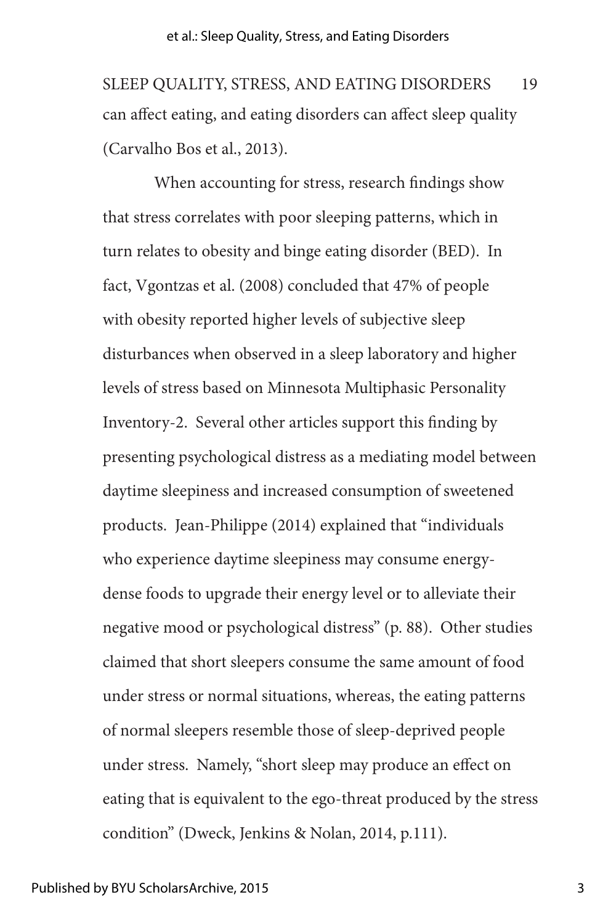can affect eating, and eating disorders can affect sleep quality (Carvalho Bos et al., 2013). SLEEP QUALITY, STRESS, AND EATING DISORDERS 19

When accounting for stress, research findings show that stress correlates with poor sleeping patterns, which in turn relates to obesity and binge eating disorder (BED). In fact, Vgontzas et al. (2008) concluded that 47% of people with obesity reported higher levels of subjective sleep disturbances when observed in a sleep laboratory and higher levels of stress based on Minnesota Multiphasic Personality Inventory-2. Several other articles support this finding by presenting psychological distress as a mediating model between daytime sleepiness and increased consumption of sweetened products. Jean-Philippe (2014) explained that "individuals who experience daytime sleepiness may consume energydense foods to upgrade their energy level or to alleviate their negative mood or psychological distress" (p. 88). Other studies claimed that short sleepers consume the same amount of food under stress or normal situations, whereas, the eating patterns of normal sleepers resemble those of sleep-deprived people under stress. Namely, "short sleep may produce an effect on eating that is equivalent to the ego-threat produced by the stress condition" (Dweck, Jenkins & Nolan, 2014, p.111).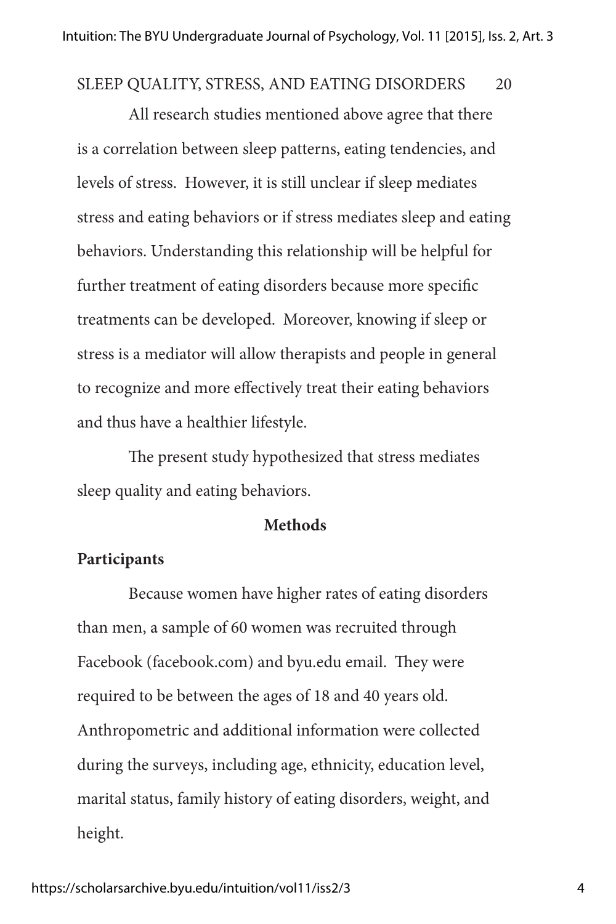### SLEEP QUALITY, STRESS, AND EATING DISORDERS 20

All research studies mentioned above agree that there is a correlation between sleep patterns, eating tendencies, and levels of stress. However, it is still unclear if sleep mediates stress and eating behaviors or if stress mediates sleep and eating behaviors. Understanding this relationship will be helpful for further treatment of eating disorders because more specific treatments can be developed. Moreover, knowing if sleep or stress is a mediator will allow therapists and people in general to recognize and more effectively treat their eating behaviors and thus have a healthier lifestyle.

The present study hypothesized that stress mediates sleep quality and eating behaviors.

#### **Methods**

#### **Participants**

Because women have higher rates of eating disorders than men, a sample of 60 women was recruited through Facebook (facebook.com) and byu.edu email. They were required to be between the ages of 18 and 40 years old. Anthropometric and additional information were collected during the surveys, including age, ethnicity, education level, marital status, family history of eating disorders, weight, and height.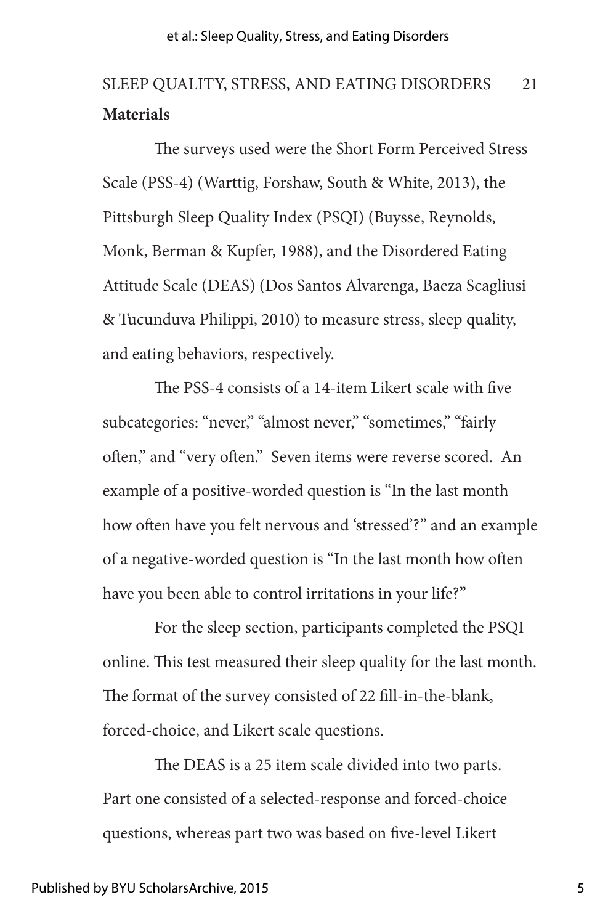# **Materials** SLEEP QUALITY, STRESS, AND EATING DISORDERS 21

The surveys used were the Short Form Perceived Stress Scale (PSS-4) (Warttig, Forshaw, South & White, 2013), the Pittsburgh Sleep Quality Index (PSQI) (Buysse, Reynolds, Monk, Berman & Kupfer, 1988), and the Disordered Eating Attitude Scale (DEAS) (Dos Santos Alvarenga, Baeza Scagliusi & Tucunduva Philippi, 2010) to measure stress, sleep quality, and eating behaviors, respectively.

The PSS-4 consists of a 14-item Likert scale with five subcategories: "never," "almost never," "sometimes," "fairly often," and "very often." Seven items were reverse scored. An example of a positive-worded question is "In the last month how often have you felt nervous and 'stressed'?" and an example of a negative-worded question is "In the last month how often have you been able to control irritations in your life?"

For the sleep section, participants completed the PSQI online. This test measured their sleep quality for the last month. The format of the survey consisted of 22 fill-in-the-blank, forced-choice, and Likert scale questions.

The DEAS is a 25 item scale divided into two parts. Part one consisted of a selected-response and forced-choice questions, whereas part two was based on five-level Likert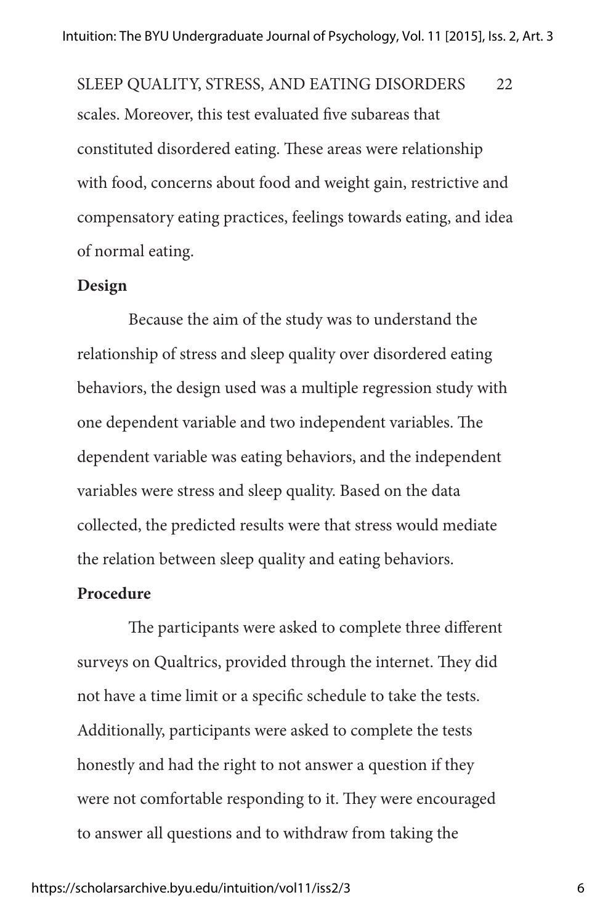scales. Moreover, this test evaluated five subareas that constituted disordered eating. These areas were relationship with food, concerns about food and weight gain, restrictive and compensatory eating practices, feelings towards eating, and idea of normal eating. SLEEP QUALITY, STRESS, AND EATING DISORDERS 22

#### **Design**

Because the aim of the study was to understand the relationship of stress and sleep quality over disordered eating behaviors, the design used was a multiple regression study with one dependent variable and two independent variables. The dependent variable was eating behaviors, and the independent variables were stress and sleep quality. Based on the data collected, the predicted results were that stress would mediate the relation between sleep quality and eating behaviors.

#### **Procedure**

The participants were asked to complete three different surveys on Qualtrics, provided through the internet. They did not have a time limit or a specific schedule to take the tests. Additionally, participants were asked to complete the tests honestly and had the right to not answer a question if they were not comfortable responding to it. They were encouraged to answer all questions and to withdraw from taking the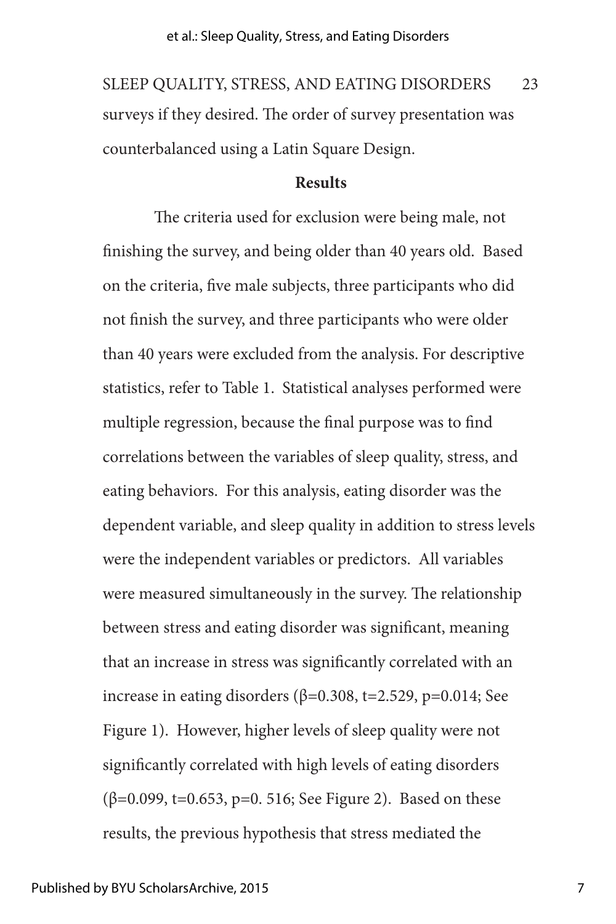#### et al.: Sleep Quality, Stress, and Eating Disorders

surveys if they desired. The order of survey presentation was counterbalanced using a Latin Square Design. SLEEP QUALITY, STRESS, AND EATING DISORDERS 23

#### **Results**

The criteria used for exclusion were being male, not finishing the survey, and being older than 40 years old. Based on the criteria, five male subjects, three participants who did not finish the survey, and three participants who were older than 40 years were excluded from the analysis. For descriptive statistics, refer to Table 1. Statistical analyses performed were multiple regression, because the final purpose was to find correlations between the variables of sleep quality, stress, and eating behaviors. For this analysis, eating disorder was the dependent variable, and sleep quality in addition to stress levels were the independent variables or predictors. All variables were measured simultaneously in the survey. The relationship between stress and eating disorder was significant, meaning that an increase in stress was significantly correlated with an increase in eating disorders ( $β=0.308$ , t=2.529, p=0.014; See Figure 1). However, higher levels of sleep quality were not significantly correlated with high levels of eating disorders (β=0.099, t=0.653, p=0. 516; See Figure 2). Based on these results, the previous hypothesis that stress mediated the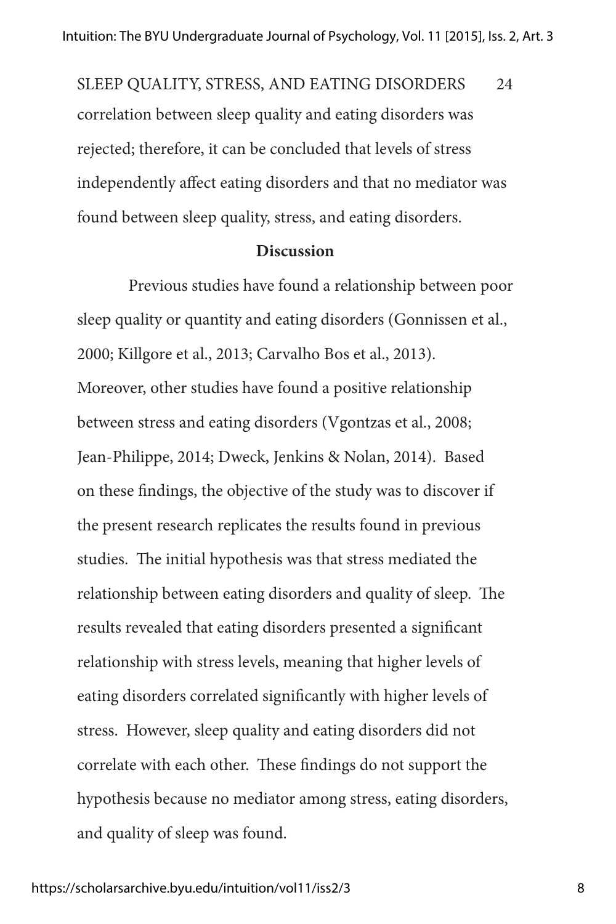correlation between sleep quality and eating disorders was rejected; therefore, it can be concluded that levels of stress independently affect eating disorders and that no mediator was found between sleep quality, stress, and eating disorders. SLEEP QUALITY, STRESS, AND EATING DISORDERS 24

#### **Discussion**

Previous studies have found a relationship between poor sleep quality or quantity and eating disorders (Gonnissen et al., 2000; Killgore et al., 2013; Carvalho Bos et al., 2013). Moreover, other studies have found a positive relationship between stress and eating disorders (Vgontzas et al., 2008; Jean-Philippe, 2014; Dweck, Jenkins & Nolan, 2014). Based on these findings, the objective of the study was to discover if the present research replicates the results found in previous studies. The initial hypothesis was that stress mediated the relationship between eating disorders and quality of sleep. The results revealed that eating disorders presented a significant relationship with stress levels, meaning that higher levels of eating disorders correlated significantly with higher levels of stress. However, sleep quality and eating disorders did not correlate with each other. These findings do not support the hypothesis because no mediator among stress, eating disorders, and quality of sleep was found.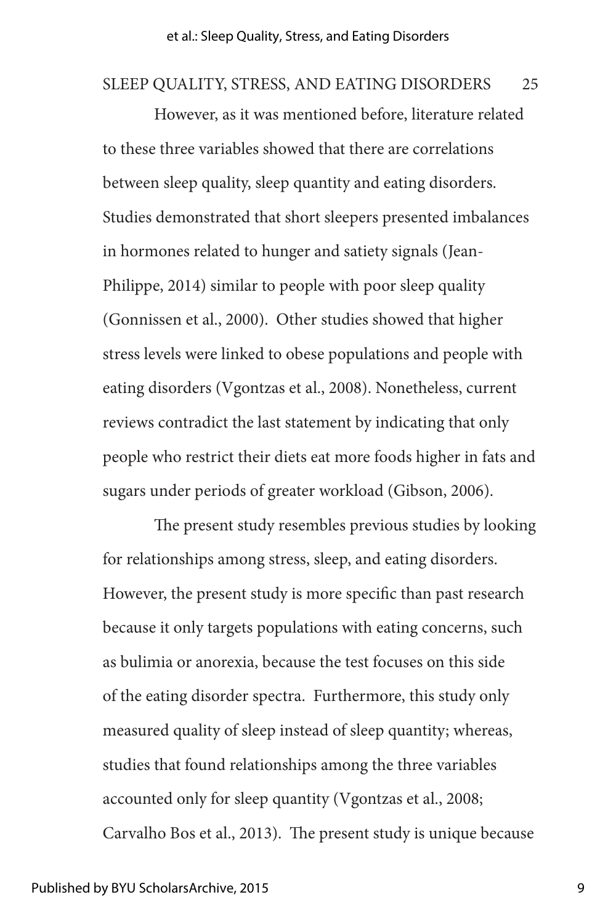#### SLEEP QUALITY, STRESS, AND EATING DISORDERS 25

However, as it was mentioned before, literature related to these three variables showed that there are correlations between sleep quality, sleep quantity and eating disorders. Studies demonstrated that short sleepers presented imbalances in hormones related to hunger and satiety signals (Jean-Philippe, 2014) similar to people with poor sleep quality (Gonnissen et al., 2000). Other studies showed that higher stress levels were linked to obese populations and people with eating disorders (Vgontzas et al., 2008). Nonetheless, current reviews contradict the last statement by indicating that only people who restrict their diets eat more foods higher in fats and sugars under periods of greater workload (Gibson, 2006).

The present study resembles previous studies by looking for relationships among stress, sleep, and eating disorders. However, the present study is more specific than past research because it only targets populations with eating concerns, such as bulimia or anorexia, because the test focuses on this side of the eating disorder spectra. Furthermore, this study only measured quality of sleep instead of sleep quantity; whereas, studies that found relationships among the three variables accounted only for sleep quantity (Vgontzas et al., 2008; Carvalho Bos et al., 2013). The present study is unique because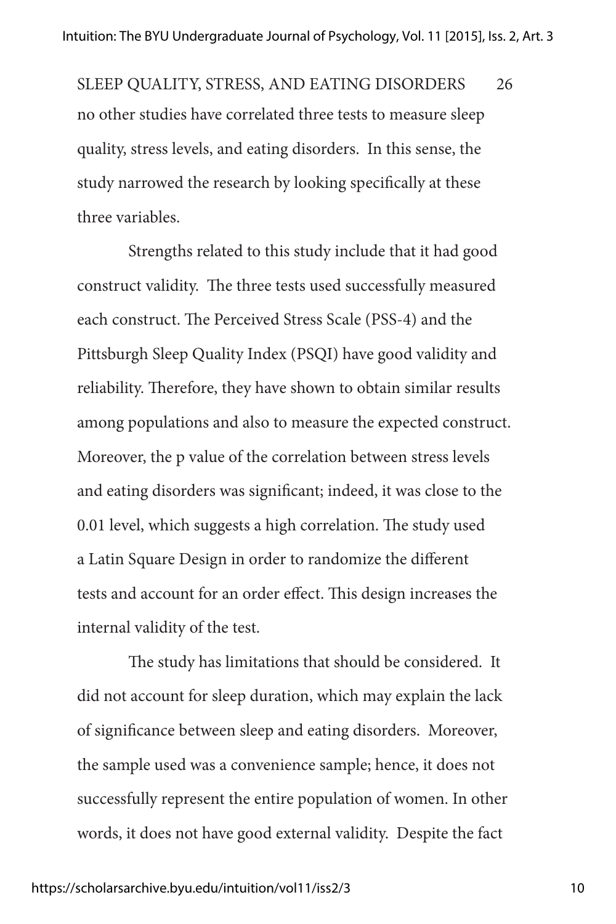no other studies have correlated three tests to measure sleep quality, stress levels, and eating disorders. In this sense, the study narrowed the research by looking specifically at these three variables. SLEEP QUALITY, STRESS, AND EATING DISORDERS 26

Strengths related to this study include that it had good construct validity. The three tests used successfully measured each construct. The Perceived Stress Scale (PSS-4) and the Pittsburgh Sleep Quality Index (PSQI) have good validity and reliability. Therefore, they have shown to obtain similar results among populations and also to measure the expected construct. Moreover, the p value of the correlation between stress levels and eating disorders was significant; indeed, it was close to the 0.01 level, which suggests a high correlation. The study used a Latin Square Design in order to randomize the different tests and account for an order effect. This design increases the internal validity of the test.

The study has limitations that should be considered. It did not account for sleep duration, which may explain the lack of significance between sleep and eating disorders. Moreover, the sample used was a convenience sample; hence, it does not successfully represent the entire population of women. In other words, it does not have good external validity. Despite the fact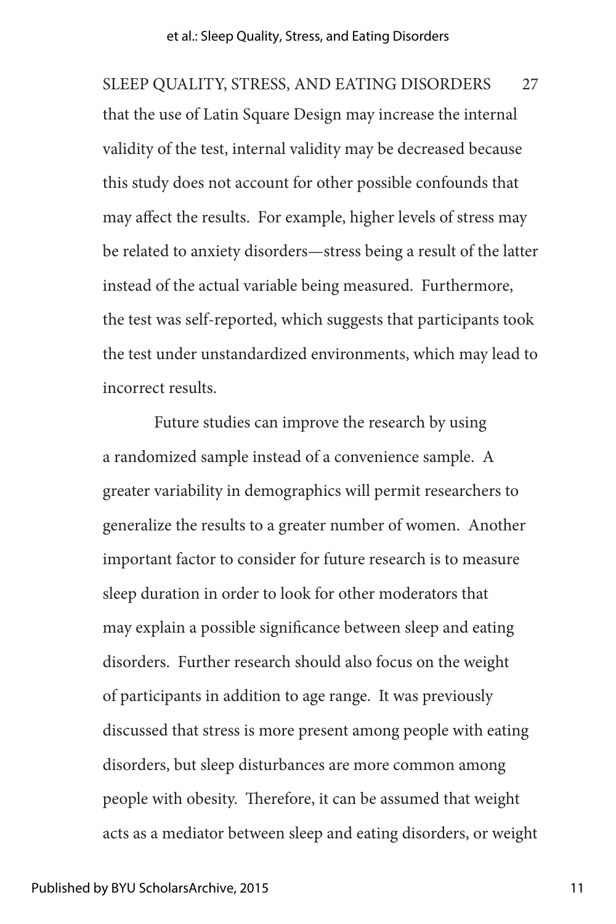that the use of Latin Square Design may increase the internal validity of the test, internal validity may be decreased because this study does not account for other possible confounds that may affect the results. For example, higher levels of stress may be related to anxiety disorders—stress being a result of the latter instead of the actual variable being measured. Furthermore, the test was self-reported, which suggests that participants took the test under unstandardized environments, which may lead to incorrect results. SLEEP QUALITY, STRESS, AND EATING DISORDERS 27

Future studies can improve the research by using a randomized sample instead of a convenience sample. A greater variability in demographics will permit researchers to generalize the results to a greater number of women. Another important factor to consider for future research is to measure sleep duration in order to look for other moderators that may explain a possible significance between sleep and eating disorders. Further research should also focus on the weight of participants in addition to age range. It was previously discussed that stress is more present among people with eating disorders, but sleep disturbances are more common among people with obesity. Therefore, it can be assumed that weight acts as a mediator between sleep and eating disorders, or weight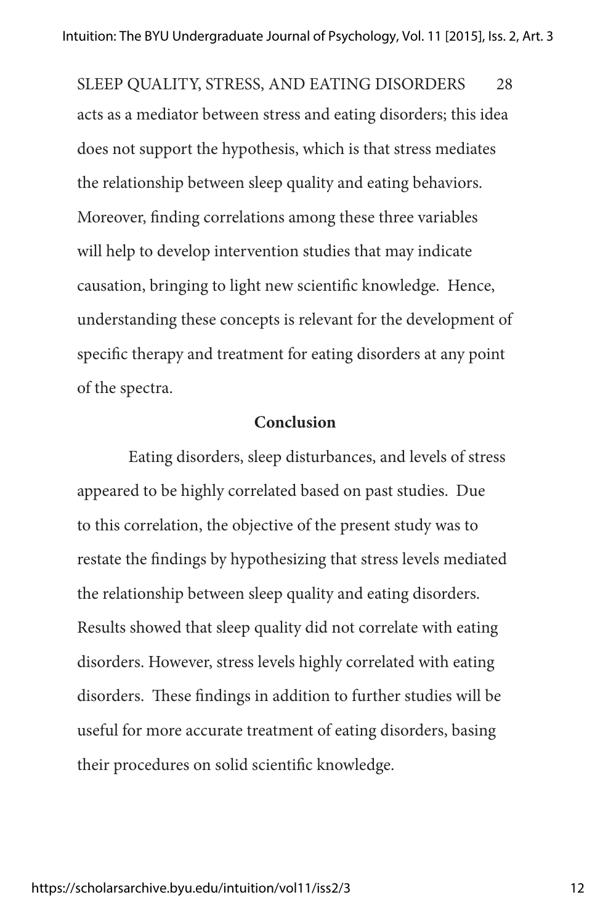acts as a mediator between stress and eating disorders; this idea does not support the hypothesis, which is that stress mediates the relationship between sleep quality and eating behaviors. Moreover, finding correlations among these three variables will help to develop intervention studies that may indicate causation, bringing to light new scientific knowledge. Hence, understanding these concepts is relevant for the development of specific therapy and treatment for eating disorders at any point of the spectra. SLEEP QUALITY, STRESS, AND EATING DISORDERS 28

#### **Conclusion**

Eating disorders, sleep disturbances, and levels of stress appeared to be highly correlated based on past studies. Due to this correlation, the objective of the present study was to restate the findings by hypothesizing that stress levels mediated the relationship between sleep quality and eating disorders. Results showed that sleep quality did not correlate with eating disorders. However, stress levels highly correlated with eating disorders. These findings in addition to further studies will be useful for more accurate treatment of eating disorders, basing their procedures on solid scientific knowledge.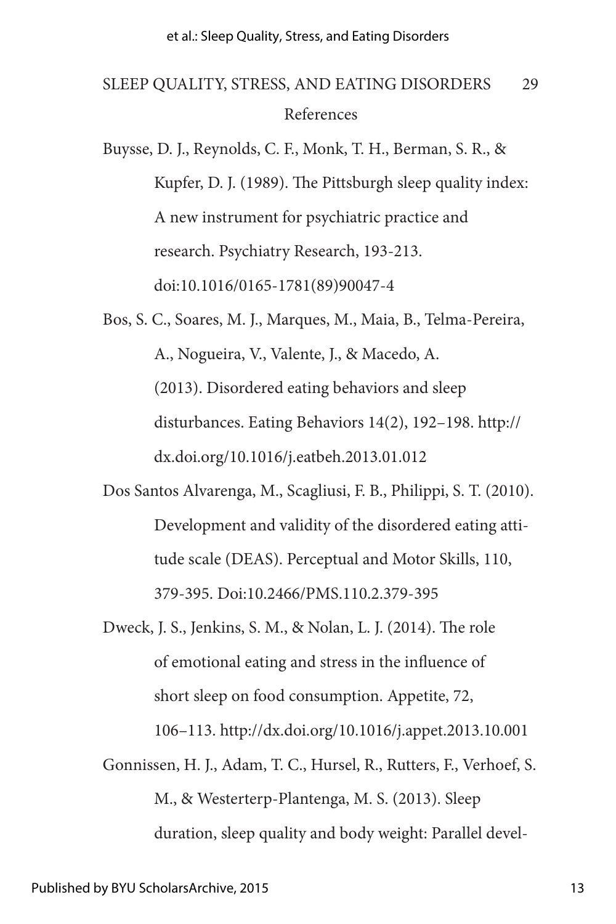# References SLEEP QUALITY, STRESS, AND EATING DISORDERS 29

Buysse, D. J., Reynolds, C. F., Monk, T. H., Berman, S. R., & Kupfer, D. J. (1989). The Pittsburgh sleep quality index: A new instrument for psychiatric practice and research. Psychiatry Research, 193-213. doi:10.1016/0165-1781(89)90047-4

Bos, S. C., Soares, M. J., Marques, M., Maia, B., Telma-Pereira, A., Nogueira, V., Valente, J., & Macedo, A. (2013). Disordered eating behaviors and sleep disturbances. Eating Behaviors 14(2), 192–198. http:// dx.doi.org/10.1016/j.eatbeh.2013.01.012

Dos Santos Alvarenga, M., Scagliusi, F. B., Philippi, S. T. (2010). Development and validity of the disordered eating attitude scale (DEAS). Perceptual and Motor Skills, 110, 379-395. Doi:10.2466/PMS.110.2.379-395

Dweck, J. S., Jenkins, S. M., & Nolan, L. J. (2014). The role of emotional eating and stress in the influence of short sleep on food consumption. Appetite, 72, 106–113. http://dx.doi.org/10.1016/j.appet.2013.10.001

Gonnissen, H. J., Adam, T. C., Hursel, R., Rutters, F., Verhoef, S. M., & Westerterp-Plantenga, M. S. (2013). Sleep duration, sleep quality and body weight: Parallel devel-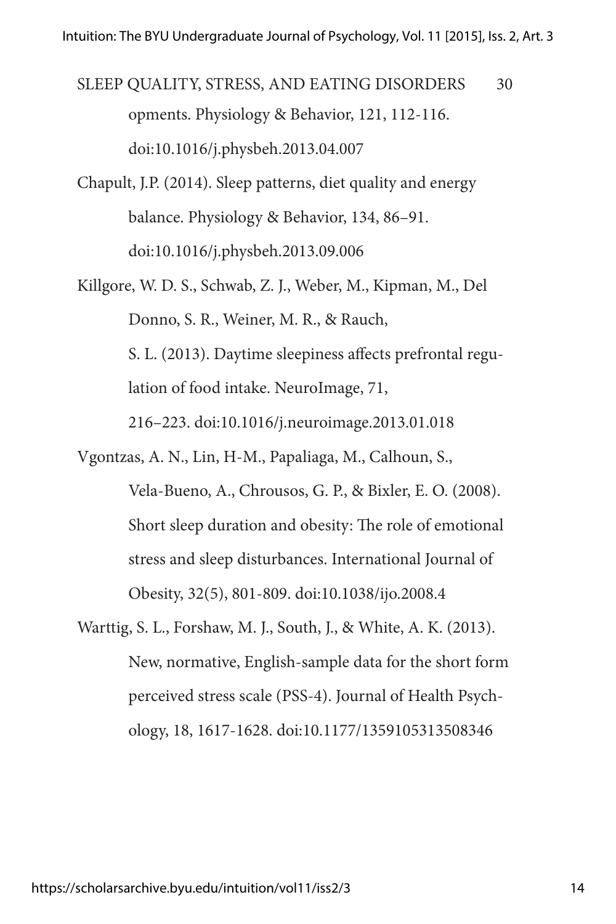opments. Physiology & Behavior, 121, 112-116. doi:10.1016/j.physbeh.2013.04.007 SLEEP QUALITY, STRESS, AND EATING DISORDERS 30

- Chapult, J.P. (2014). Sleep patterns, diet quality and energy balance. Physiology & Behavior, 134, 86–91. doi:10.1016/j.physbeh.2013.09.006
- Killgore, W. D. S., Schwab, Z. J., Weber, M., Kipman, M., Del Donno, S. R., Weiner, M. R., & Rauch, S. L. (2013). Daytime sleepiness affects prefrontal regulation of food intake. NeuroImage, 71, 216–223. doi:10.1016/j.neuroimage.2013.01.018
- Vgontzas, A. N., Lin, H-M., Papaliaga, M., Calhoun, S., Vela-Bueno, A., Chrousos, G. P., & Bixler, E. O. (2008). Short sleep duration and obesity: The role of emotional stress and sleep disturbances. International Journal of Obesity, 32(5), 801-809. doi:10.1038/ijo.2008.4
- Warttig, S. L., Forshaw, M. J., South, J., & White, A. K. (2013). New, normative, English-sample data for the short form perceived stress scale (PSS-4). Journal of Health Psychology, 18, 1617-1628. doi:10.1177/1359105313508346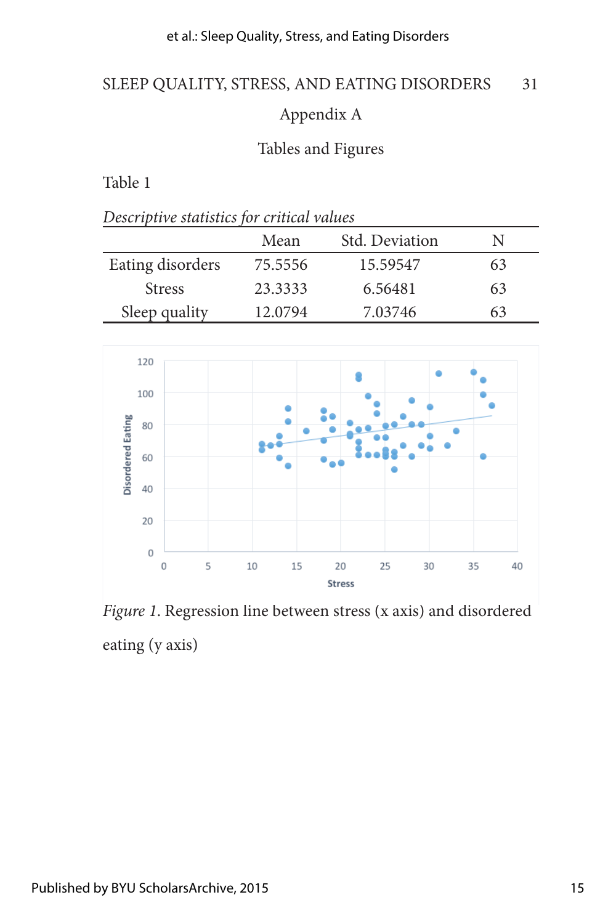### et al.: Sleep Quality, Stress, and Eating Disorders

# SLEEP QUALITY, STRESS, AND EATING DISORDERS 31

# Appendix A

## Tables and Figures

### Table 1

| Descriptive statistics for critical values |  |
|--------------------------------------------|--|
|--------------------------------------------|--|

|                  | Mean    | Std. Deviation | N  |
|------------------|---------|----------------|----|
| Eating disorders | 75.5556 | 15.59547       | 63 |
| <b>Stress</b>    | 23.3333 | 6.56481        | 63 |
| Sleep quality    | 12.0794 | 7.03746        | 63 |



*Figure 1*. Regression line between stress (x axis) and disordered eating (y axis)